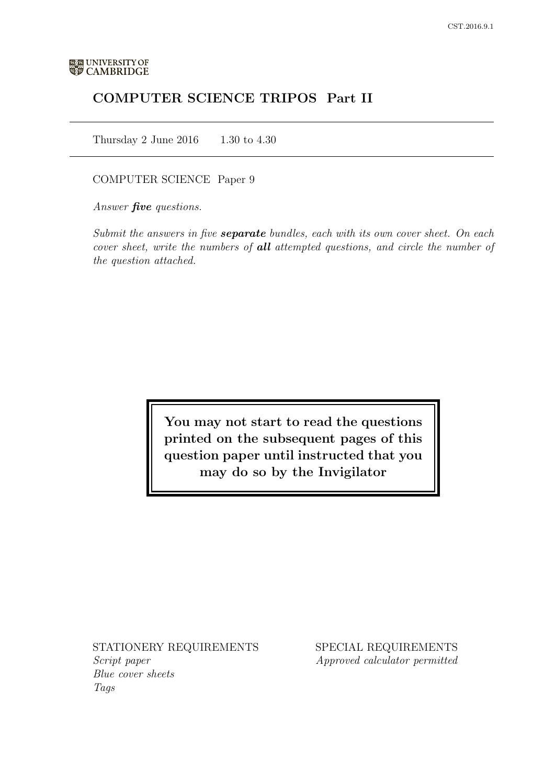# COMPUTER SCIENCE TRIPOS Part II

Thursday 2 June 2016 1.30 to 4.30

### COMPUTER SCIENCE Paper 9

Answer *five* questions.

Submit the answers in five **separate** bundles, each with its own cover sheet. On each cover sheet, write the numbers of **all** attempted questions, and circle the number of the question attached.

> You may not start to read the questions printed on the subsequent pages of this question paper until instructed that you may do so by the Invigilator

STATIONERY REQUIREMENTS Script paper Blue cover sheets

Tags

SPECIAL REQUIREMENTS Approved calculator permitted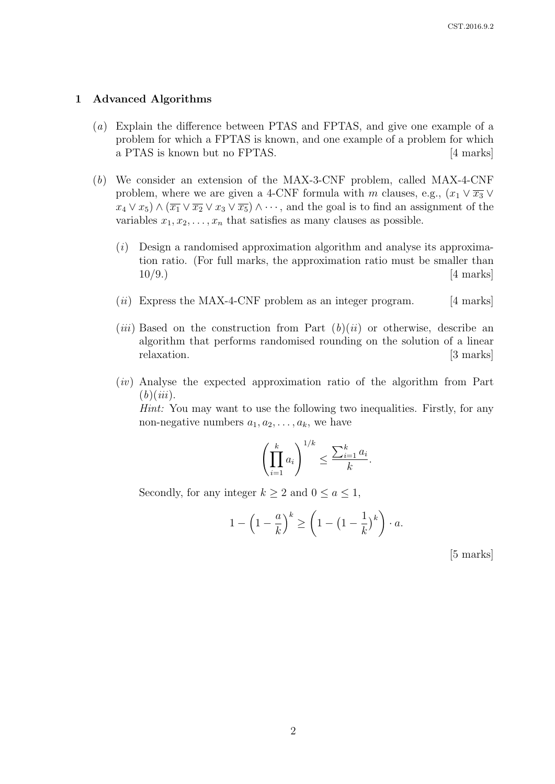#### 1 Advanced Algorithms

- (a) Explain the difference between PTAS and FPTAS, and give one example of a problem for which a FPTAS is known, and one example of a problem for which a PTAS is known but no FPTAS. [4 marks]
- (b) We consider an extension of the MAX-3-CNF problem, called MAX-4-CNF problem, where we are given a 4-CNF formula with m clauses, e.g.,  $(x_1 \vee \overline{x_3} \vee$  $x_4 \vee x_5$ )  $\wedge (\overline{x_1} \vee \overline{x_2} \vee x_3 \vee \overline{x_5})$   $\wedge \cdots$ , and the goal is to find an assignment of the variables  $x_1, x_2, \ldots, x_n$  that satisfies as many clauses as possible.
	- $(i)$  Design a randomised approximation algorithm and analyse its approximation ratio. (For full marks, the approximation ratio must be smaller than  $10/9.$ ) [4 marks]
	- $(ii)$  Express the MAX-4-CNF problem as an integer program. [4 marks]
	- (*iii*) Based on the construction from Part  $(b)(ii)$  or otherwise, describe an algorithm that performs randomised rounding on the solution of a linear relaxation. [3 marks]
	- (iv) Analyse the expected approximation ratio of the algorithm from Part  $(b)(iii)$ .

Hint: You may want to use the following two inequalities. Firstly, for any non-negative numbers  $a_1, a_2, \ldots, a_k$ , we have

$$
\left(\prod_{i=1}^k a_i\right)^{1/k} \le \frac{\sum_{i=1}^k a_i}{k}.
$$

Secondly, for any integer  $k \geq 2$  and  $0 \leq a \leq 1$ ,

$$
1 - \left(1 - \frac{a}{k}\right)^k \ge \left(1 - \left(1 - \frac{1}{k}\right)^k\right) \cdot a.
$$

[5 marks]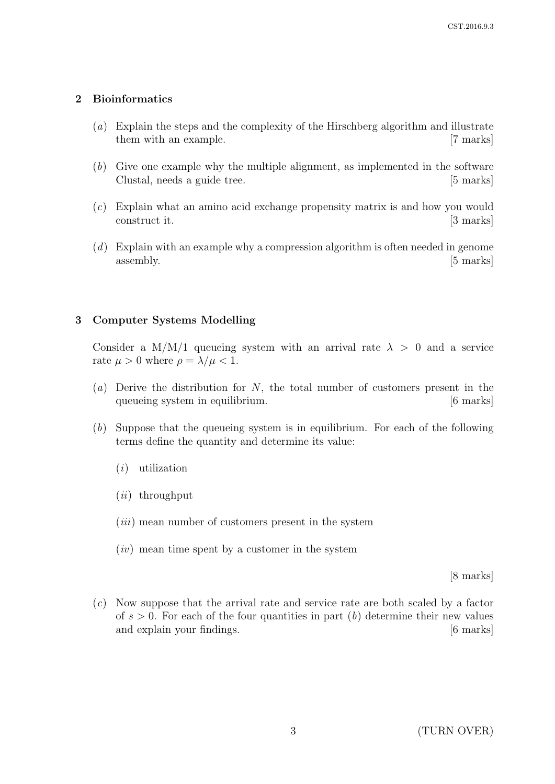### 2 Bioinformatics

- (a) Explain the steps and the complexity of the Hirschberg algorithm and illustrate them with an example. [7 marks]
- (b) Give one example why the multiple alignment, as implemented in the software Clustal, needs a guide tree. [5 marks]
- (c) Explain what an amino acid exchange propensity matrix is and how you would construct it. [3 marks]
- $(d)$  Explain with an example why a compression algorithm is often needed in genome  $\alpha$  assembly.  $[5 \text{ marks}]$

### 3 Computer Systems Modelling

Consider a M/M/1 queueing system with an arrival rate  $\lambda > 0$  and a service rate  $\mu > 0$  where  $\rho = \lambda / \mu < 1$ .

- (a) Derive the distribution for  $N$ , the total number of customers present in the queueing system in equilibrium. [6 marks]
- (b) Suppose that the queueing system is in equilibrium. For each of the following terms define the quantity and determine its value:
	- (i) utilization
	- $(ii)$  throughput
	- $(iii)$  mean number of customers present in the system
	- $(iv)$  mean time spent by a customer in the system

[8 marks]

(c) Now suppose that the arrival rate and service rate are both scaled by a factor of  $s > 0$ . For each of the four quantities in part (b) determine their new values and explain your findings. [6 marks]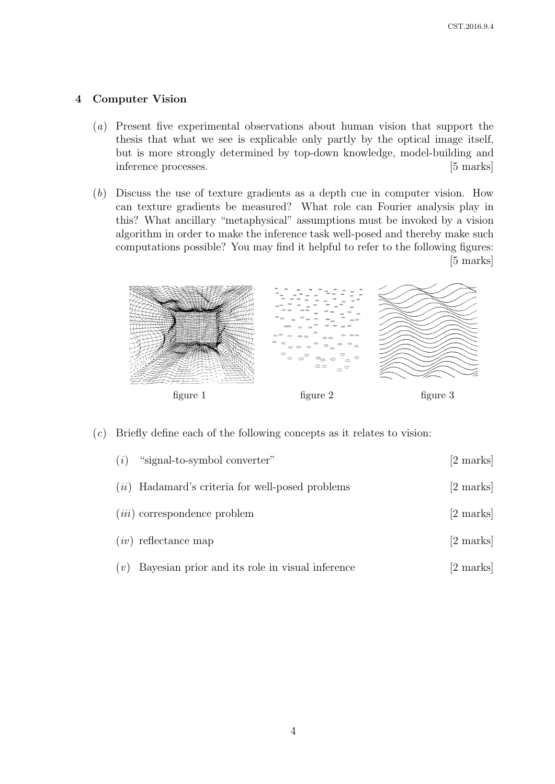### 4 Computer Vision

- (a) Present five experimental observations about human vision that support the thesis that what we see is explicable only partly by the optical image itself, but is more strongly determined by top-down knowledge, model-building and inference processes. [5 marks]
- (b) Discuss the use of texture gradients as a depth cue in computer vision. How can texture gradients be measured? What role can Fourier analysis play in this? What ancillary "metaphysical" assumptions must be invoked by a vision algorithm in order to make the inference task well-posed and thereby make such computations possible? You may find it helpful to refer to the following figures: [5 marks]



#### (c) Briefly define each of the following concepts as it relates to vision:

| (i) | "signal-to-symbol converter"                       | $[2 \text{ marks}]$ |
|-----|----------------------------------------------------|---------------------|
|     | $(ii)$ Hadamard's criteria for well-posed problems | $[2 \text{ marks}]$ |
|     | $(iii)$ correspondence problem                     | $[2 \text{ marks}]$ |
|     | $(iv)$ reflectance map                             | [2 marks]           |
| (v) | Bayesian prior and its role in visual inference    | $ 2 \text{ marks} $ |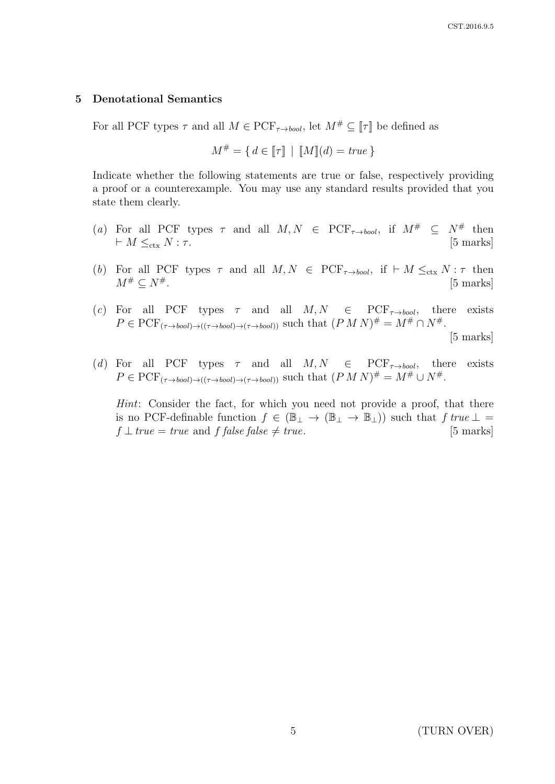#### 5 Denotational Semantics

For all PCF types  $\tau$  and all  $M \in \mathrm{PCF}_{\tau \to bool}$ , let  $M^{\#} \subseteq \llbracket \tau \rrbracket$  be defined as

$$
M^{\#} = \{ d \in [\![\tau]\!] \mid [M][d] = \text{true} \}
$$

Indicate whether the following statements are true or false, respectively providing a proof or a counterexample. You may use any standard results provided that you state them clearly.

- (a) For all PCF types  $\tau$  and all  $M, N$   $\in$  PCF<sub> $\tau \rightarrow bool$ </sub>, if  $M^{\#}$   $\subseteq N^{\#}$  then  $\vdash M \leq_{\text{ctx}} N : \tau.$  [5 marks]
- (b) For all PCF types  $\tau$  and all  $M, N \in {\rm PCF}_{\tau \to bool}$ , if  $\vdash M \leq_{\text{ctx}} N : \tau$  then  $M^{\#} \subset N^{\#}$ . [5 marks]
- (c) For all PCF types  $\tau$  and all  $M, N \in PCF_{\tau \to bool}$ , there exists  $P \in \mathrm{PCF}_{(\tau \to bool) \to ((\tau \to bool) \to (\tau \to bool))}$  such that  $(P M N)^{\#} = M^{\#} \cap N^{\#}.$ [5 marks]
- (d) For all PCF types  $\tau$  and all  $M, N \in {\rm PCF}_{\tau \rightarrow bool}$ , there exists  $P \in \mathrm{PCF}_{(\tau \to bool) \to ((\tau \to bool) \to (\tau \to bool))}$  such that  $(P M N)^{\#} = M^{\#} \cup N^{\#}.$

Hint: Consider the fact, for which you need not provide a proof, that there is no PCF-definable function  $f \in (\mathbb{B}_{\perp} \to (\mathbb{B}_{\perp} \to \mathbb{B}_{\perp}))$  such that  $f$  true  $\perp$  =  $f \perp true = true$  and  $f$  false false  $\neq true$ . [5 marks]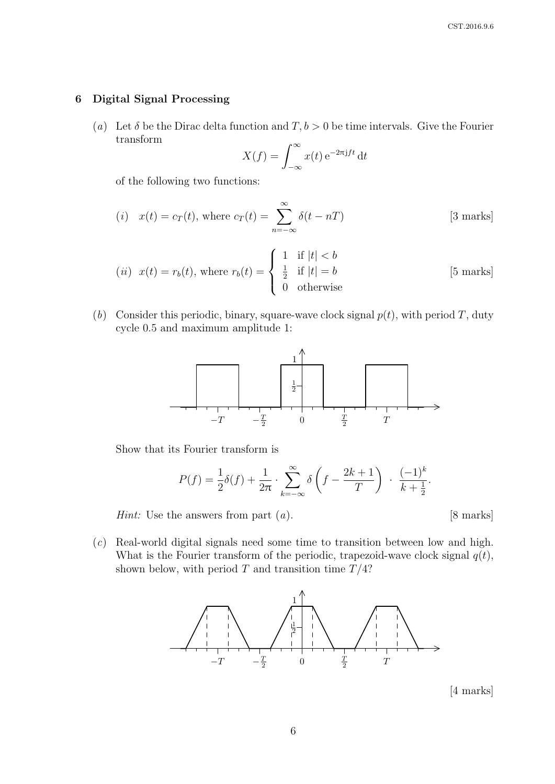#### 6 Digital Signal Processing

(a) Let  $\delta$  be the Dirac delta function and  $T, b > 0$  be time intervals. Give the Fourier transform

$$
X(f) = \int_{-\infty}^{\infty} x(t) e^{-2\pi j f t} dt
$$

of the following two functions:

(i) 
$$
x(t) = c_T(t)
$$
, where  $c_T(t) = \sum_{n=-\infty}^{\infty} \delta(t - nT)$  [3 marks]

(*ii*) 
$$
x(t) = r_b(t)
$$
, where  $r_b(t) = \begin{cases} 1 & \text{if } |t| < b \\ \frac{1}{2} & \text{if } |t| = b \\ 0 & \text{otherwise} \end{cases}$  [5 marks]

(b) Consider this periodic, binary, square-wave clock signal  $p(t)$ , with period T, duty cycle 0.5 and maximum amplitude 1:



Show that its Fourier transform is

$$
P(f) = \frac{1}{2}\delta(f) + \frac{1}{2\pi} \cdot \sum_{k=-\infty}^{\infty} \delta\left(f - \frac{2k+1}{T}\right) \cdot \frac{(-1)^k}{k + \frac{1}{2}}.
$$

*Hint*: Use the answers from part  $(a)$ . [8 marks]

(c) Real-world digital signals need some time to transition between low and high. What is the Fourier transform of the periodic, trapezoid-wave clock signal  $q(t)$ , shown below, with period  $T$  and transition time  $T/4$ ?



[4 marks]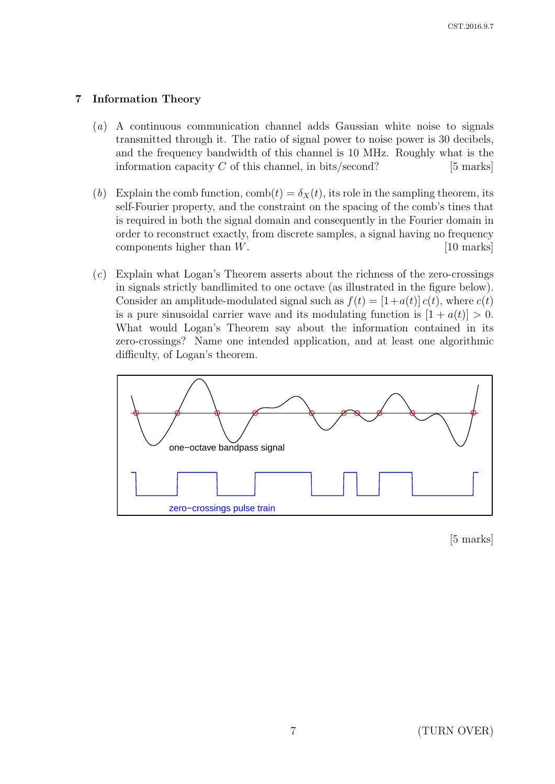# 7 Information Theory

- (a) A continuous communication channel adds Gaussian white noise to signals transmitted through it. The ratio of signal power to noise power is 30 decibels, and the frequency bandwidth of this channel is 10 MHz. Roughly what is the information capacity  $C$  of this channel, in bits/second? [5 marks]
- (b) Explain the comb function,  $\text{comb}(t) = \delta_X(t)$ , its role in the sampling theorem, its self-Fourier property, and the constraint on the spacing of the comb's tines that is required in both the signal domain and consequently in the Fourier domain in order to reconstruct exactly, from discrete samples, a signal having no frequency components higher than W. [10 marks]
- (c) Explain what Logan's Theorem asserts about the richness of the zero-crossings in signals strictly bandlimited to one octave (as illustrated in the figure below). Consider an amplitude-modulated signal such as  $f(t) = [1 + a(t)] c(t)$ , where  $c(t)$ is a pure sinusoidal carrier wave and its modulating function is  $[1 + a(t)] > 0$ . What would Logan's Theorem say about the information contained in its zero-crossings? Name one intended application, and at least one algorithmic difficulty, of Logan's theorem.



[5 marks]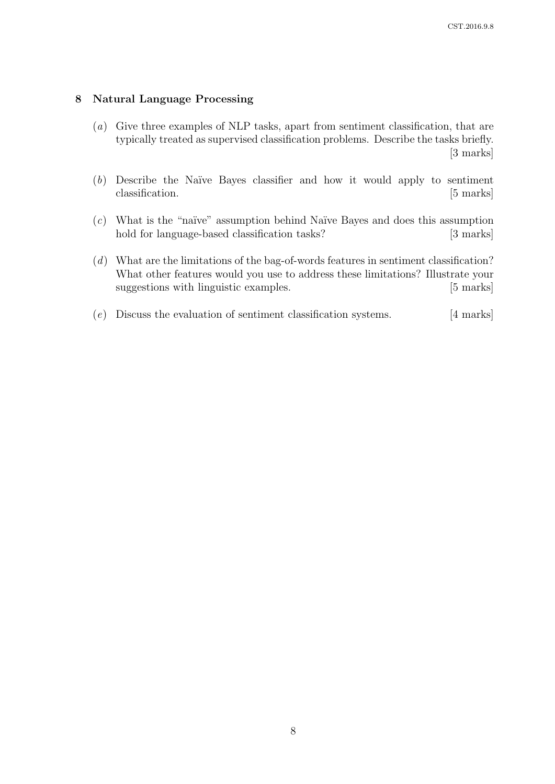#### 8 Natural Language Processing

- (a) Give three examples of NLP tasks, apart from sentiment classification, that are typically treated as supervised classification problems. Describe the tasks briefly. [3 marks]
- $(b)$  Describe the Naïve Bayes classifier and how it would apply to sentiment classification. [5 marks]
- $(c)$  What is the "naïve" assumption behind Naïve Bayes and does this assumption hold for language-based classification tasks? [3 marks]
- (d) What are the limitations of the bag-of-words features in sentiment classification? What other features would you use to address these limitations? Illustrate your suggestions with linguistic examples. [5 marks]
- $(e)$  Discuss the evaluation of sentiment classification systems. [4 marks]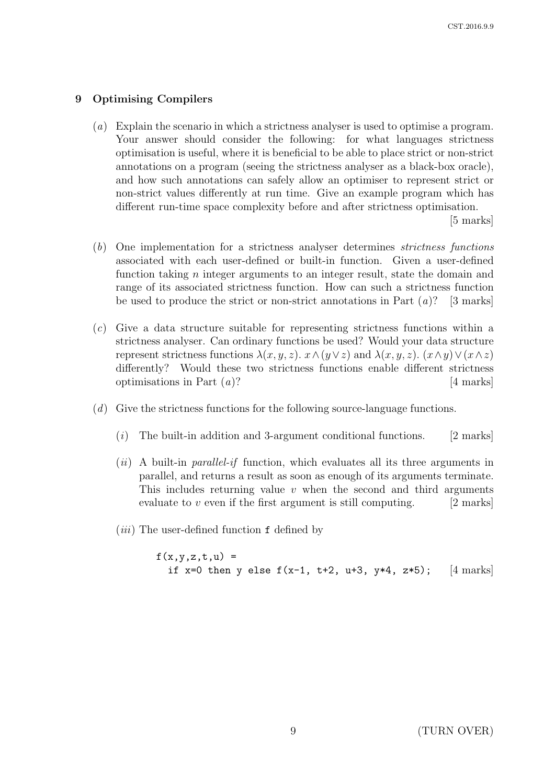### 9 Optimising Compilers

(a) Explain the scenario in which a strictness analyser is used to optimise a program. Your answer should consider the following: for what languages strictness optimisation is useful, where it is beneficial to be able to place strict or non-strict annotations on a program (seeing the strictness analyser as a black-box oracle), and how such annotations can safely allow an optimiser to represent strict or non-strict values differently at run time. Give an example program which has different run-time space complexity before and after strictness optimisation.

[5 marks]

- (b) One implementation for a strictness analyser determines strictness functions associated with each user-defined or built-in function. Given a user-defined function taking n integer arguments to an integer result, state the domain and range of its associated strictness function. How can such a strictness function be used to produce the strict or non-strict annotations in Part  $(a)$ ? [3 marks]
- (c) Give a data structure suitable for representing strictness functions within a strictness analyser. Can ordinary functions be used? Would your data structure represent strictness functions  $\lambda(x, y, z)$ .  $x \wedge (y \vee z)$  and  $\lambda(x, y, z)$ .  $(x \wedge y) \vee (x \wedge z)$ differently? Would these two strictness functions enable different strictness optimisations in Part  $(a)$ ? [4 marks]
- (d) Give the strictness functions for the following source-language functions.
	- $(i)$  The built-in addition and 3-argument conditional functions. [2 marks]
	- $(ii)$  A built-in *parallel-if* function, which evaluates all its three arguments in parallel, and returns a result as soon as enough of its arguments terminate. This includes returning value  $v$  when the second and third arguments evaluate to  $v$  even if the first argument is still computing. [2 marks]
	- $(iii)$  The user-defined function f defined by

 $f(x,y,z,t,u) =$ if x=0 then y else  $f(x-1, t+2, u+3, y*4, z*5)$ ; [4 marks]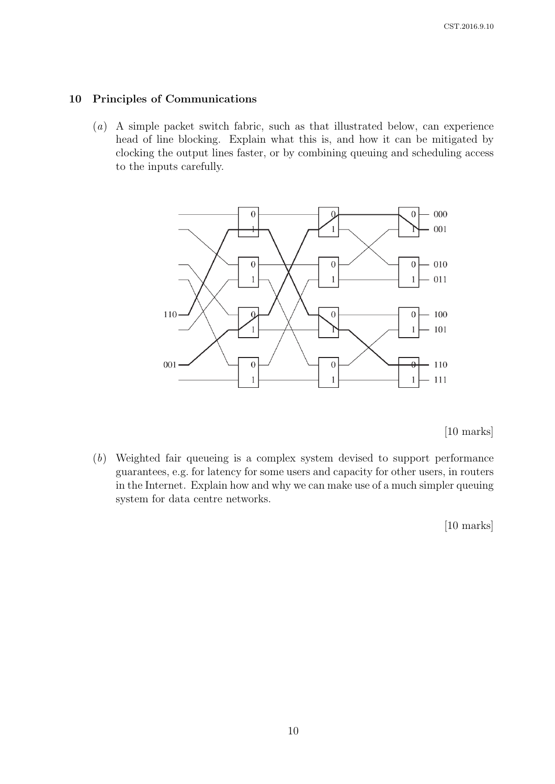#### 10 Principles of Communications

(a) A simple packet switch fabric, such as that illustrated below, can experience head of line blocking. Explain what this is, and how it can be mitigated by clocking the output lines faster, or by combining queuing and scheduling access to the inputs carefully.



[10 marks]

(b) Weighted fair queueing is a complex system devised to support performance guarantees, e.g. for latency for some users and capacity for other users, in routers in the Internet. Explain how and why we can make use of a much simpler queuing system for data centre networks.

[10 marks]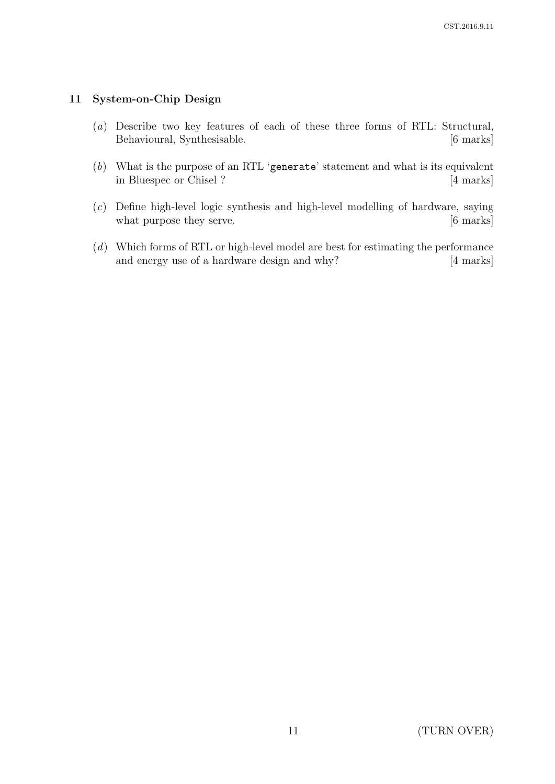# 11 System-on-Chip Design

- (a) Describe two key features of each of these three forms of RTL: Structural, Behavioural, Synthesisable. [6 marks]
- (b) What is the purpose of an RTL 'generate' statement and what is its equivalent in Bluespec or Chisel ? [4 marks]
- (c) Define high-level logic synthesis and high-level modelling of hardware, saying what purpose they serve. [6 marks]
- (d) Which forms of RTL or high-level model are best for estimating the performance and energy use of a hardware design and why? [4 marks]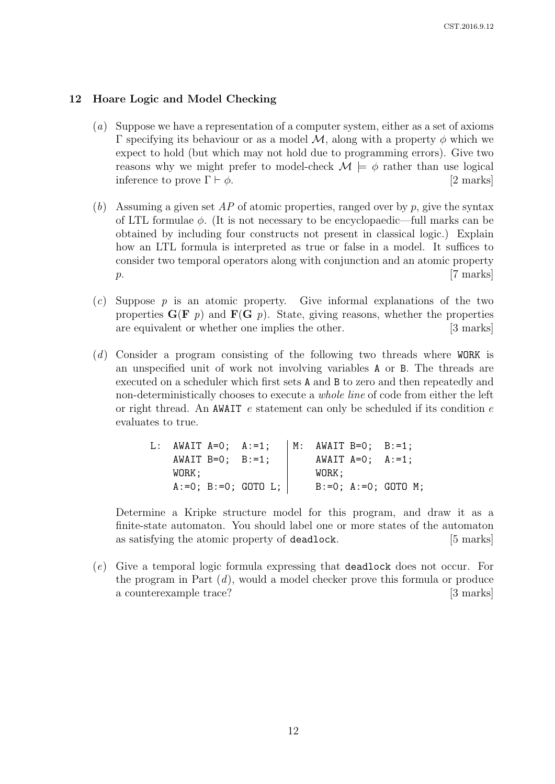## 12 Hoare Logic and Model Checking

- (a) Suppose we have a representation of a computer system, either as a set of axioms Γ specifying its behaviour or as a model  $M$ , along with a property φ which we expect to hold (but which may not hold due to programming errors). Give two reasons why we might prefer to model-check  $\mathcal{M} \models \phi$  rather than use logical inference to prove  $\Gamma \vdash \phi$ . [2 marks]
- (b) Assuming a given set  $AP$  of atomic properties, ranged over by p, give the syntax of LTL formulae  $\phi$ . (It is not necessary to be encyclopaedic—full marks can be obtained by including four constructs not present in classical logic.) Explain how an LTL formula is interpreted as true or false in a model. It suffices to consider two temporal operators along with conjunction and an atomic property  $p.$  [7 marks]
- $(c)$  Suppose p is an atomic property. Give informal explanations of the two properties  $G(F \, p)$  and  $F(G \, p)$ . State, giving reasons, whether the properties are equivalent or whether one implies the other. [3 marks]
- (d) Consider a program consisting of the following two threads where WORK is an unspecified unit of work not involving variables A or B. The threads are executed on a scheduler which first sets A and B to zero and then repeatedly and non-deterministically chooses to execute a whole line of code from either the left or right thread. An AWAIT e statement can only be scheduled if its condition  $e$ evaluates to true.

| L: AWAIT $A=0$ ; $A:=1$ ; |                        |                          | $M:$ AWAIT B=0; B:=1; |                        |                               |
|---------------------------|------------------------|--------------------------|-----------------------|------------------------|-------------------------------|
|                           | AWAIT $B=0$ ; $B:=1$ ; |                          |                       | AWAIT $A=0$ ; $A:=1$ ; |                               |
| WORK ;                    |                        |                          | WORK:                 |                        |                               |
|                           |                        | $A := 0$ ; B:=0; GOTO L; |                       |                        | $B := 0$ ; $A := 0$ ; GOTO M; |

Determine a Kripke structure model for this program, and draw it as a finite-state automaton. You should label one or more states of the automaton as satisfying the atomic property of deadlock. [5 marks]

(e) Give a temporal logic formula expressing that deadlock does not occur. For the program in Part  $(d)$ , would a model checker prove this formula or produce a counterexample trace? [3 marks]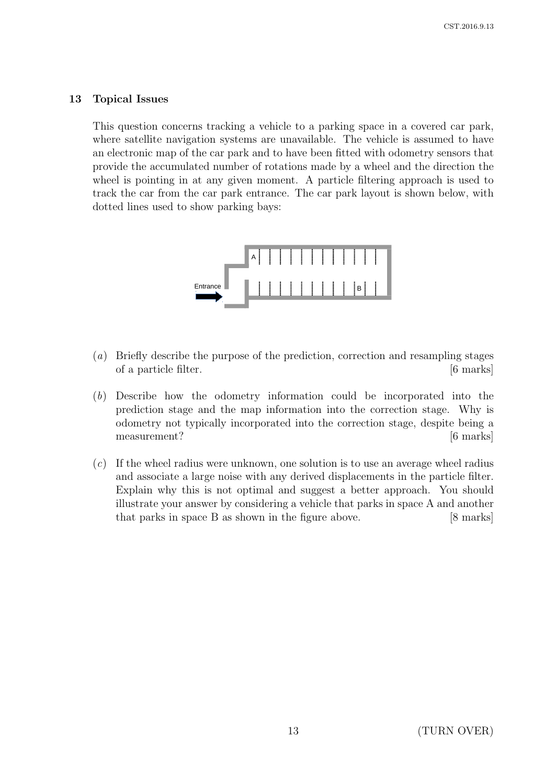### 13 Topical Issues

This question concerns tracking a vehicle to a parking space in a covered car park, where satellite navigation systems are unavailable. The vehicle is assumed to have an electronic map of the car park and to have been fitted with odometry sensors that provide the accumulated number of rotations made by a wheel and the direction the wheel is pointing in at any given moment. A particle filtering approach is used to track the car from the car park entrance. The car park layout is shown below, with dotted lines used to show parking bays:



- (a) Briefly describe the purpose of the prediction, correction and resampling stages of a particle filter. [6 marks]
- (b) Describe how the odometry information could be incorporated into the prediction stage and the map information into the correction stage. Why is odometry not typically incorporated into the correction stage, despite being a measurement? [6 marks]
- $(c)$  If the wheel radius were unknown, one solution is to use an average wheel radius and associate a large noise with any derived displacements in the particle filter. Explain why this is not optimal and suggest a better approach. You should illustrate your answer by considering a vehicle that parks in space A and another that parks in space B as shown in the figure above. [8 marks]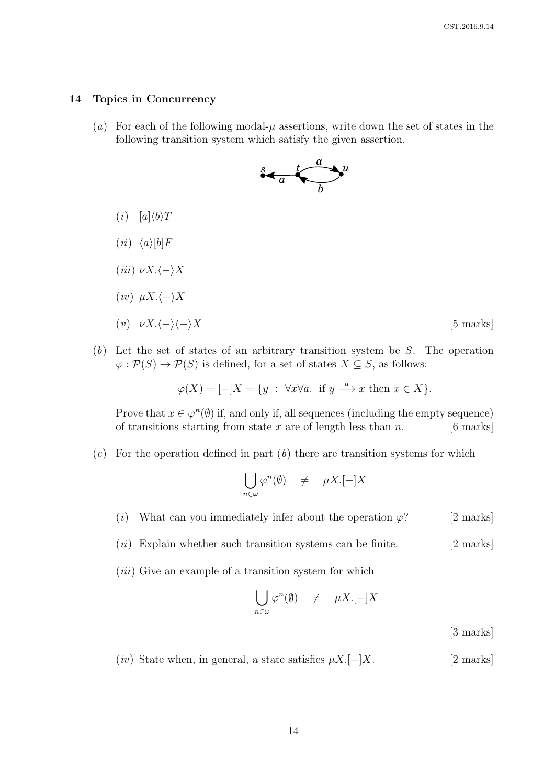#### 14 Topics in Concurrency

(a) For each of the following modal- $\mu$  assertions, write down the set of states in the following transition system which satisfy the given assertion.



- $(i)$   $[a]\langle b\rangle T$
- $(ii) \langle a \rangle[b]F$
- (iii)  $\nu X. \langle \rangle X$
- $(iv) \mu X. \langle \rangle X$
- (v)  $\nu X. \langle \rangle \langle \rangle X$  [5 marks]
- $(b)$  Let the set of states of an arbitrary transition system be S. The operation  $\varphi : \mathcal{P}(S) \to \mathcal{P}(S)$  is defined, for a set of states  $X \subseteq S$ , as follows:

 $\varphi(X) = [-|X| = \{y : \forall x \forall a \text{ if } y \stackrel{a}{\longrightarrow} x \text{ then } x \in X\}.$ 

Prove that  $x \in \varphi^n(\emptyset)$  if, and only if, all sequences (including the empty sequence) of transitions starting from state x are of length less than  $n$ . [6 marks]

 $(c)$  For the operation defined in part  $(b)$  there are transition systems for which

$$
\bigcup_{n\in\omega}\varphi^n(\emptyset)\quad\neq\quad \mu X.[-]X
$$

- (i) What can you immediately infer about the operation  $\varphi$ ? [2 marks]
- $(ii)$  Explain whether such transition systems can be finite. [2 marks]
- $(iii)$  Give an example of a transition system for which

$$
\bigcup_{n \in \omega} \varphi^n(\emptyset) \quad \neq \quad \mu X.[-]X
$$

[3 marks]

 $(iv)$  State when, in general, a state satisfies  $\mu X.[-]X.$  [2 marks]